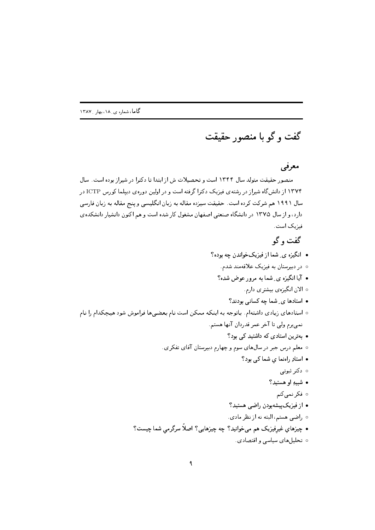گفت و گو با منصور حقیقت

## معرفي

منصور حقیقت متولد سال ۱۳۴۴ است و تحصیلات ش از ابتدا تا دکترا در شیراز بوده است. سال ۱۳۷۴ از دانشگاه شیراز در رشتهی فیزیک دکترا گرفته است و در اولین دورهی دیپلما کورس ICTP در سال ۱۹۹۱ هم شرکت کرده است. حقیقت سیزده مقاله به زبان انگلیسی و پنج مقاله به زبان فارسی دارد، و از سال ۱۳۷۵ در دانشگاه صنعتی اصفهان مشغول کار شده است و هم اکنون دانشیار دانشکده ی فيزيک است.

## گفت و گو

- انگیزه ی شما از فیزیکخواندن چه بوده؟
	- در دبیرستان به فیزیک علاقهمند شدم.
	- آیا انگیزه ی ِ شما به مرور عوض شده؟
		- ه الان انگیزهی بیشتری دارم.
		- استادها ی ِ شما چه کسانی بودند؟
- ه استادهای زیادی داشتهام. باتوجه به اینکه ممکن است نام بعضیها فراموش شود هیچکدام را نام نمي برم ولي تا آخر عمر قدردان آنها هستم.
	- بهترین استادی که داشتید کی بود؟ ه معلم درس جبر در سال۱های سوم و چهارم دبیرستان آقای تفکری. • استادِ راهنما ی شما کی بود؟ ⊙ دکتر ثبوتی • شبيهِ او هستيد؟ ه فکر نمي کنم • از فیزیکپیشهبودن راضی هستید؟ ○ راضى هستم، البته نه از نظر مادى. • چیزهای غیرفیزیک هم میخوانید؟ چه چیزهایی؟ اصلاً سرگرمی شما چیست؟
		- ه تحلیلهای سیاسی و اقتصادی.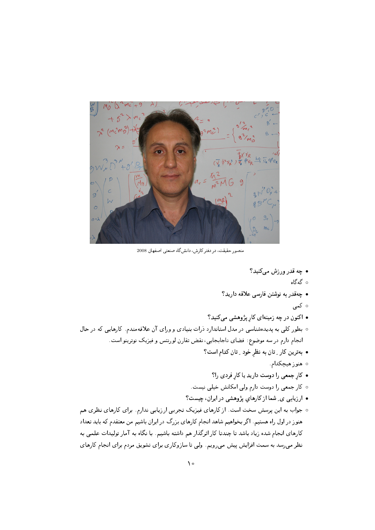$\lambda$  )  $2^{2} (M_{c}^{3}M_{D}^{2})$  $+9$  $3N^{10^2}$  $\circ$  $mc$ 

منصور حقیقت، در دفتر کارش، دانش گاه صنعتی اصفهان 2008

- چه قدر ورزش مېڭنيد؟
	- ە گەگاە
- چەقدر بە نوشتن فارسے علاقە داريد؟
	- ∘ کمی
- اکنون در چه زمینهای کار پژوهشی میکنید؟
- ه بطور کلی به پدیدهشناسی در مدل استاندارد ذرات بنیادی و ورای آن علاقه مندم. کارهایی که در حال انجام دارم در سه موضوع: فضاي ناجابجايي، نقض تقارن لورنتس و فيزيک نوترينو است.
	- بهترین کار ِ تان به نظر خود ِ تان کدام است؟
		- ۰ هنوز هيچکدام.
		- کار جمعی را دوست دارید یا کار فردی را؟
	- كار جمعى را دوست دارم ولى امكانش خيلى نيست.
	- ارزیابی ی ِ شما از کارهای پژوهشی در ایران، چیست؟
- ه جواب به این پرسش سخت است. از کارهای فیزیک تجربی ارزیابی ندارم. برای کارهای نظری هم هنوز در اول راه هستیم. اگر بخواهیم شاهد انجام کارهای بزرگ در ایران باشیم من معتقدم که باید تعداد کارهای انجام شده زیاد باشد تا چندتا کار اثرگذار هم داشته باشیم. با نگاه به آمار تولیدات علمی به نظر میرسد به سمت افزایش پیش میرویم. ولی تا سازوکاری برای تشویق مردم برای انجام کارهای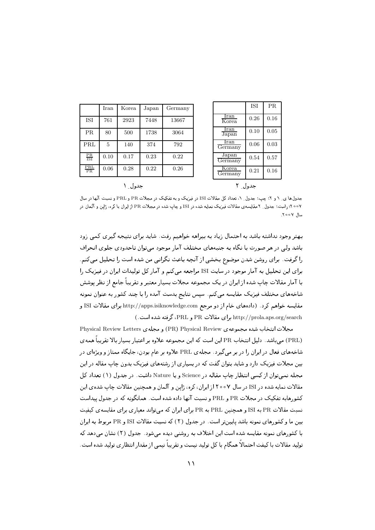|                                | Iran | Korea | Japan | Germany |
|--------------------------------|------|-------|-------|---------|
| ISI                            | 761  | 2923  | 7448  | 13667   |
| $\rm PR$                       | 80   | 500   | 1738  | 3064    |
| PRL                            | 5    | 140   | 374   | 792     |
| $\frac{\text{PR}}{\text{ISI}}$ | 0.10 | 0.17  | 0.23  | 0.22    |
| $\frac{\text{PRL}}{\text{PR}}$ | 0.06 | 0.28  | 0.22  | 0.26    |

جدول ١

**ISI** PR. Iran  $0.26$  $0.16$ Korea lran  $0.10$  $0.05$ Japan Iran  $0.06$  $0.03$ Germany Japan 0.54 0.57 Germany Korea  $0.21$  $0.16$ Germany

جدول ٢

جدول۱های ِ ۱ و ۲: چپ: جدول ِ ۱، تعداد کل مقالات ISI در فیزیک و به تفکیک در مجلات PR و EPL و نسبت آنها در سال ۰۰۰۷: راست: جدول ِ ۲ مقایسه ی مقالات فیزیک نمایه شده در ISI و چاپ شده در مجلات PR از ایران با کره، ژاپن و آلمان در سال ۷۰۰۷.

بهتر وجود نداشته باشد به احتمال زیاد به بیراهه خواهیم رفت. شاید برای نتیجه گیری کمی زود باشد ولی در هر صورت با نگاه به جنبههای مختلف آمار موجود می توان تاحدودی جلوی انحراف را گرفت. برای روشن شدن موضوع بخشی از آنچه باعث نگرانی من شده است را تحلیل می کنم. برای این تحلیل به آمار موجود در سایت ISI مراجعه می کنم و آمار کل تولیدات ایران در فیزیک را با آمار مقالات چاپ شده از ایران در یک مجموعه مجلات بسیار معتبر و تقریباً جامع از نظر یوشش شاخههای مختلف فیزیک مقایسه میکنم. سپس نتایج بدست آمده را با چند کشور به عنوان نمونه مقایسه خواهم کرد. (دادههای خام از دو مرجع http://apps.isiknowledge.com برای مقالات ISI و http://prola.aps.org/search براى مقالات PR و PRL، گرفته شده است.)

مجلات انتخاب شده مجموعه ي PR) Physical Review و مجله ي Physical Review Letters (PRL) میباشد. دلیل انتخاب PR این است که این مجموعه علاوه بر اعتبار بسیار بالا تقریباً همهی شاخههای فعال در ایران را در بر می گیرد. مجله ی PRL علاوه بر عام بودن، جایگاه ممتاز و ویژهای در بین مجلات فیزیک دارد و شاید بتوان گفت که در بسیاری از رشتههای فیزیک بدون چاپ مقاله در این مجله نمبےتوان از کسے انتظار جاب مقاله در Science و یا Nature داشت. در جدول (۱) تعداد کل مقالات نمایه شده در ISI در سال ۲۰۰۷ از ایران، کره، ژاین و آلمان و همچنین مقالات چاپ شدهی این کشورهابه تفکیک در مجلات PR و PRL و نسبت آنها داده شده است. همانگونه که در جدول پیداست نسبت مقالات PR به ISI و همچنین PRL به PR برای ایران که می تواند معیاری برای مقایسه ی کیفیت بین ما و کشورهای نمونه باشد پایینتر است. در جدول (٢) که نسبت مقالات ISI و PR مربوط به ایران با کشورهای نمونه مقایسه شده است این اختلاف به روشنی دیده میشود. جدول (۲) نشان میدهد که تولید مقالات با کیفت احتمالاً همگام با کل تولید نیست و تقریباً نیمی از مقدار انتظار ی تولید شده است.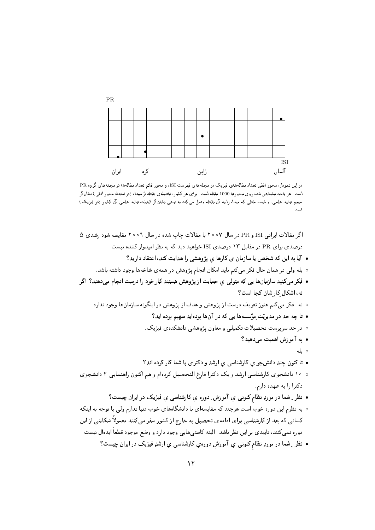

در این نمودار، محور افقی تعداد مقالههای فیزیک در مجلههای فهرست ISI، و محور قائم تعداد مقالهها در مجلههای گروه PR است. هر واحد مشخصشده روی محورها 1000 مقاله است. برای هر کشور، فاصله،ی نقطه از مبداء (در امتداد محور افقی) نشانگر حجم تولید علمی، و شیب خطی که مبداء را به آن نقطه وصل می کند به نوعی نشانگر کیفیّت تولید علمی آن کشور (در فیزیک) است.

اگر مقالات ایرانی ISI و PR در سال ۲۰۰۷ با مقالات چاپ شده در سال ۲۰۰۲ مقایسه شود رشدی ۵ درصدی برای PR در مقابل ۱۳ درصدی ISI خواهید دید که به نظر امیدوار کننده نیست. • آیا به این که شخص یا سازمان ی کارها ی پژوهشی را هدایت کند، اعتقاد دارید؟ ۰ بله ولی در همان حال فکر میکنم باید امکان انجام پژوهش در همهی شاخهها وجود داشته باشد. • فکر میکنید سازمانها یی که متولی ی حمایت از پژوهش هستند کار خود را درست انجام می دهند؟ اگر نه، اشکال کا, شان کجا است؟ ○ نه. فکر می کنم هنوز تعریف درست از پژوهش و هدف از پژوهش در اینگونه سازمانها وجود ندارد. • تا چه حد در مدیریّت مؤسسهها یی که در آنها بودهاید سهیم بوده اید؟ ۰ در حد سربرست تحصیلات تکمیلی و معاون پژوهشی دانشکدهی فیزیک. • به آموزش اهمیت می دهید؟ ⊙ ىلە • تا کنون چند دانشجو ی کارشناسی ی ارشد و دکتری با شما کار کرده اند؟ ٥ ١٥ دانشجوي كارشناسي ارشد ويك دكترا فارغ التحصيل كردهام و هم اكنون راهنمايي ٤ دانشجوي دکترا را به عهده دارم. • نظر ِ شما در موردِ نظام کنون<sub>دی</sub> یِ آموزش ِ دوره یِ کارشناسی یِ فیزیک در ایران چیست؟ ○ به نظرم این دوره خوب است هرچند که مقایسهای با دانشگاههای خوب دنیا ندارم ولی با توجه به اینکه کسانی که بعد از کارشناسی برای ادامهی تحصیل به خارج از کشور سفر می کنند معمولاً شکایتی از این دوره نمی کنند، تاییدی بر این نظر باشد. البته کاستیهایی وجود دارد و وضع موجود قطعاً ایدهال نیست. • نظر ِ شما در موردِ نظام کنونبی یِ آموزش دورهیِ کارشناسی یِ ارشدِ فیزیک در ایران چیست؟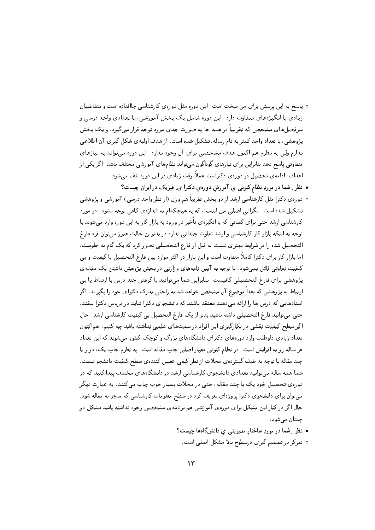- پاسخ به این پرسش برای من سخت است. این دوره مثل دورهی کارشناسی جاافتاده است و متقاضیان زیادی با انگیزههای متفاوت دارد. این دوره شامل یک بخش آموزشی، با تعدادی واحد درسی و سرفصلهای مشخص که تقریباً در همه جا به صورت جدی مورد توجه قرار میگیرد، و یک بخش يژوهشي، با تعداد واحد كمتر به نام رساله، تشكيل شده است. از هدف اوليهي شكل گيري آن اطلاعي ندارم وليي به نظرم هم اكنون هدف مشخصي براي آن وجود ندارد. اين دوره ميتواند به نيازهاي متفاوتی پاسخ دهد بنابراین برای نیازهای گوناگون میةواند نظامهای آموزشی مختلف باشد. اگر یکی از اهداف، ادامهی تحصیل در دورهی دکتراست عملاً وقت زیادی در این دوره تلف می شود.
	- نظر ِ شما در موردِ نظام کنونبی ی آموزش دورهی دکترا ی ِ فیزیک در ایران چیست؟
- دورهى دكترا مثل كارشناسي ارشد از دو بخش تقريباً هم وزن (از نظر واحد درسي) آموزشي و پژوهشي تشکیل شده است. نگرانی اصلی من اینست که به هیچکدام به اندازهی کافی توجه نشود. در مورد کارشناسی ارشد حتی برای کسانی که با انگیزهی تأخیر در ورود به بازار کار به این دوره وارد میشوند با توجه به اینکه بازار کار کارشناسی و ارشد تفاوت چندانی ندارد در بدترین حالت هنوز میتوان فرد فارغ التحصیل شده را در شرایط بهتری نسبت به قبل از فارغ التحصیلی تصور کرد که یک گام به جلوست. اما بازار کار برای دکترا کاملاً متفاوت است و این بازار در اکثر موارد بین فارغ التحصیل با کیفیت و بی کیفیت تفاوتی قائل نمیشود. با توجه به آیین نامههای وزارتی در بخش پژوهش داشتن یک مقالهی پژوهشی برای فارغ التحصیلی کافیست. بنابراین شما میتوانید با گرفتن چند درس با ارتباط یا بی ارتباط به پژوهشی که بعداً موضوع آن مشخص خواهد شد به راحتی مدرک دکترای خود را بگیرید. اگر استادهایی که درس ها را ارائه میدهند معتقد باشند که دانشجوی دکترا نباید در دروس دکترا بیفتد، حتی میتوانید فارغ التحصیلی داشته باشید بدتر از یک فارغ التحصیل بی کیفیت کارشناسی ارشد. حال اگر سطح کیفیت نقشی در بکارگیری این افراد در سمتهای علمی نداشته باشد چه کنیم. هماکنون تعداد زیادی داوطلب وارد دورههای دکترای دانشگاههای بزرگ و کوچک کشور میشوند که این تعداد هر ساله رو به افزایش است. در نظام کنونبی معیار اصلبی چاپ مقاله است. به نظرم چاپ یک، دو و یا چند مقاله با توجه به طیف گستردهی مجلات از نظر کیفی، تعیین کنندهی سطح کیفیت دانشجو نیست. شما همه ساله میتوانید تعدادی دانشجوی کارشناسی ارشد در دانشگاههای مختلف پیدا کنید که در دورهي تحصيل خود يک يا چند مقاله، حتى در مجلات بسيار خوب چاپ مى كنند. به عبارت ديگر میتوان برای دانشجوی دکترا پروژهای تعریف کرد در سطح معلومات کارشناسی که منجر به مقاله شود. حال اگر در کنار این مشکل برای دورهی آموزشی هم برنامهی مشخصی وجود نداشته باشد مشکل دو چندان می شود.
	- نظر ِ شما در موردِ ساختار مدیریتی یِ دانشگاهها چیست؟ ○ تمرکز در تصمیم گیری درسطوح بالا مشکل اصلی است.